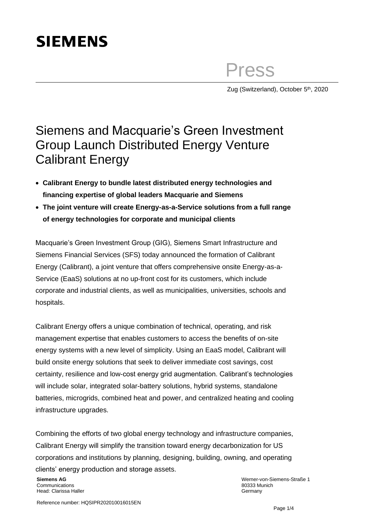## **SIEMENS**

Press

Zug (Switzerland), October 5<sup>th</sup>, 2020

## Siemens and Macquarie's Green Investment Group Launch Distributed Energy Venture Calibrant Energy

- **Calibrant Energy to bundle latest distributed energy technologies and financing expertise of global leaders Macquarie and Siemens**
- **The joint venture will create Energy-as-a-Service solutions from a full range of energy technologies for corporate and municipal clients**

Macquarie's Green Investment Group (GIG), Siemens Smart Infrastructure and Siemens Financial Services (SFS) today announced the formation of Calibrant Energy (Calibrant), a joint venture that offers comprehensive onsite Energy-as-a-Service (EaaS) solutions at no up-front cost for its customers, which include corporate and industrial clients, as well as municipalities, universities, schools and hospitals.

Calibrant Energy offers a unique combination of technical, operating, and risk management expertise that enables customers to access the benefits of on-site energy systems with a new level of simplicity. Using an EaaS model, Calibrant will build onsite energy solutions that seek to deliver immediate cost savings, cost certainty, resilience and low-cost energy grid augmentation. Calibrant's technologies will include solar, integrated solar-battery solutions, hybrid systems, standalone batteries, microgrids, combined heat and power, and centralized heating and cooling infrastructure upgrades.

Combining the efforts of two global energy technology and infrastructure companies, Calibrant Energy will simplify the transition toward energy decarbonization for US corporations and institutions by planning, designing, building, owning, and operating clients' energy production and storage assets.

**Siemens AG** Communications Head: Clarissa Haller

Werner-von-Siemens-Straße 1 80333 Munich Germany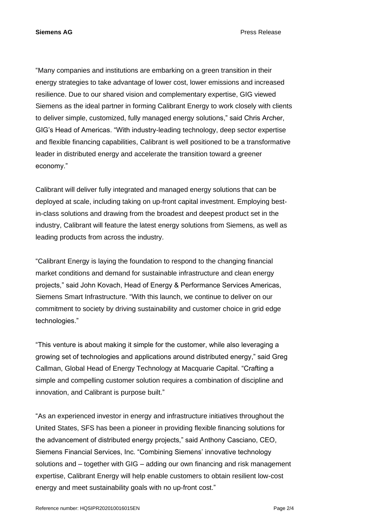**Siemens AG** Press Release

"Many companies and institutions are embarking on a green transition in their energy strategies to take advantage of lower cost, lower emissions and increased resilience. Due to our shared vision and complementary expertise, GIG viewed Siemens as the ideal partner in forming Calibrant Energy to work closely with clients to deliver simple, customized, fully managed energy solutions," said Chris Archer, GIG's Head of Americas. "With industry-leading technology, deep sector expertise and flexible financing capabilities, Calibrant is well positioned to be a transformative leader in distributed energy and accelerate the transition toward a greener economy."

Calibrant will deliver fully integrated and managed energy solutions that can be deployed at scale, including taking on up-front capital investment. Employing bestin-class solutions and drawing from the broadest and deepest product set in the industry, Calibrant will feature the latest energy solutions from Siemens, as well as leading products from across the industry.

"Calibrant Energy is laying the foundation to respond to the changing financial market conditions and demand for sustainable infrastructure and clean energy projects," said John Kovach, Head of Energy & Performance Services Americas, Siemens Smart Infrastructure. "With this launch, we continue to deliver on our commitment to society by driving sustainability and customer choice in grid edge technologies."

"This venture is about making it simple for the customer, while also leveraging a growing set of technologies and applications around distributed energy," said Greg Callman, Global Head of Energy Technology at Macquarie Capital. "Crafting a simple and compelling customer solution requires a combination of discipline and innovation, and Calibrant is purpose built."

"As an experienced investor in energy and infrastructure initiatives throughout the United States, SFS has been a pioneer in providing flexible financing solutions for the advancement of distributed energy projects," said Anthony Casciano, CEO, Siemens Financial Services, Inc. "Combining Siemens' innovative technology solutions and – together with GIG – adding our own financing and risk management expertise, Calibrant Energy will help enable customers to obtain resilient low-cost energy and meet sustainability goals with no up-front cost."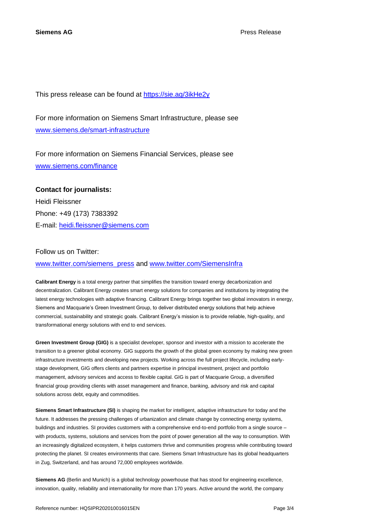This press release can be found at <https://sie.ag/3ikHe2y>

For more information on Siemens Smart Infrastructure, please see [www.siemens.de/smart-infrastructure](http://www.siemens.de/smart-infrastructure)

For more information on Siemens Financial Services, please see [www.siemens.com/finance](http://www.siemens.com/finance)

## **Contact for journalists:** Heidi Fleissner Phone: +49 (173) 7383392 E-mail: [heidi.fleissner@siemens.com](mailto:heidi.fleissner@siemens.com)

## Follow us on Twitter:

[www.twitter.com/siemens\\_press](http://www.twitter.com/siemens_press) and [www.twitter.com/SiemensInfra](http://www.twitter.com/SiemensInfra)

**Calibrant Energy** is a total energy partner that simplifies the transition toward energy decarbonization and decentralization. Calibrant Energy creates smart energy solutions for companies and institutions by integrating the latest energy technologies with adaptive financing. Calibrant Energy brings together two global innovators in energy, Siemens and Macquarie's Green Investment Group, to deliver distributed energy solutions that help achieve commercial, sustainability and strategic goals. Calibrant Energy's mission is to provide reliable, high-quality, and transformational energy solutions with end to end services.

**Green Investment Group (GIG)** is a specialist developer, sponsor and investor with a mission to accelerate the transition to a greener global economy. GIG supports the growth of the global green economy by making new green infrastructure investments and developing new projects. Working across the full project lifecycle, including earlystage development, GIG offers clients and partners expertise in principal investment, project and portfolio management, advisory services and access to flexible capital. GIG is part of Macquarie Group, a diversified financial group providing clients with asset management and finance, banking, advisory and risk and capital solutions across debt, equity and commodities.

**Siemens Smart Infrastructure (SI)** is shaping the market for intelligent, adaptive infrastructure for today and the future. It addresses the pressing challenges of urbanization and climate change by connecting energy systems, buildings and industries. SI provides customers with a comprehensive end-to-end portfolio from a single source – with products, systems, solutions and services from the point of power generation all the way to consumption. With an increasingly digitalized ecosystem, it helps customers thrive and communities progress while contributing toward protecting the planet. SI creates environments that care. Siemens Smart Infrastructure has its global headquarters in Zug, Switzerland, and has around 72,000 employees worldwide.

**Siemens AG** (Berlin and Munich) is a global technology powerhouse that has stood for engineering excellence, innovation, quality, reliability and internationality for more than 170 years. Active around the world, the company